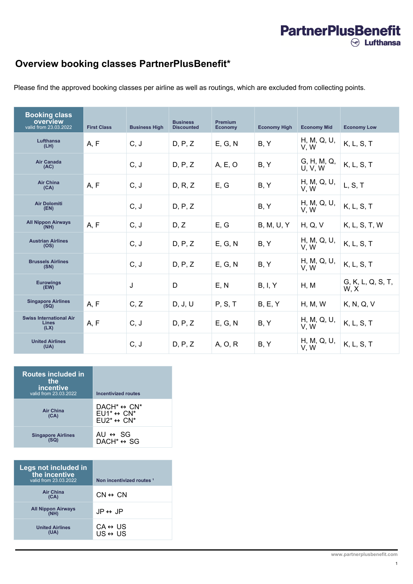## **PartnerPlusBenefit**  $\odot$  Lufthansa

## **Overview booking classes PartnerPlusBenefit\***

Please find the approved booking classes per airline as well as routings, which are excluded from collecting points.

| <b>Booking class</b><br>overview<br>valid from 23.03.2022 | <b>First Class</b> | <b>Business High</b> | <b>Business</b><br><b>Discounted</b> | <b>Premium</b><br><b>Economy</b> | <b>Economy High</b> | <b>Economy Mid</b>     | <b>Economy Low</b>        |
|-----------------------------------------------------------|--------------------|----------------------|--------------------------------------|----------------------------------|---------------------|------------------------|---------------------------|
| <b>Lufthansa</b><br>(LH)                                  | A, F               | C, J                 | D, P, Z                              | E, G, N                          | B, Y                | H, M, Q, U,<br>V, W    | K, L, S, T                |
| <b>Air Canada</b><br>(AC)                                 |                    | C, J                 | D, P, Z                              | A, E, O                          | B, Y                | G, H, M, Q,<br>U, V, W | K, L, S, T                |
| <b>Air China</b><br>(CA)                                  | A, F               | C, J                 | D, R, Z                              | E, G                             | B, Y                | H, M, Q, U,<br>V, W    | L, S, T                   |
| <b>Air Dolomiti</b><br>(EN)                               |                    | C, J                 | D, P, Z                              |                                  | B, Y                | H, M, Q, U,<br>V, W    | K, L, S, T                |
| <b>All Nippon Airways</b><br>(NH)                         | A, F               | C, J                 | D, Z                                 | E, G                             | <b>B, M, U, Y</b>   | H, Q, V                | K, L, S, T, W             |
| <b>Austrian Airlines</b><br>(OS)                          |                    | C, J                 | D, P, Z                              | E, G, N                          | B, Y                | H, M, Q, U,<br>V, W    | K, L, S, T                |
| <b>Brussels Airlines</b><br>(SN)                          |                    | C, J                 | D, P, Z                              | E, G, N                          | B, Y                | H, M, Q, U,<br>V, W    | K, L, S, T                |
| <b>Eurowings</b><br>(EW)                                  |                    | J                    | D                                    | E, N                             | B, I, Y             | H, M                   | G, K, L, Q, S, T,<br>W, X |
| <b>Singapore Airlines</b><br>(SQ)                         | A, F               | C, Z                 | D, J, U                              | P, S, T                          | B, E, Y             | H, M, W                | K, N, Q, V                |
| <b>Swiss International Air</b><br>Lines<br>(LX)           | A, F               | C, J                 | D, P, Z                              | E, G, N                          | B, Y                | H, M, Q, U,<br>V, W    | K, L, S, T                |
| <b>United Airlines</b><br>(UA)                            |                    | C, J                 | D, P, Z                              | A, O, R                          | B, Y                | H, M, Q, U,<br>V, W    | K, L, S, T                |

| <b>Routes included in</b><br>the<br>incentive<br>valid from 23.03.2022 | <b>Incentivized routes</b>                                                                               |
|------------------------------------------------------------------------|----------------------------------------------------------------------------------------------------------|
| <b>Air China</b><br>(CA)                                               | $DACH^* \leftrightarrow CN^*$<br>$EU1^* \leftrightarrow CN^*$<br>$E \cup 2^* \leftrightarrow \text{CN*}$ |
| <b>Singapore Airlines</b>                                              | AU $\leftrightarrow$ SG<br>$DACH^* \leftrightarrow SG$                                                   |

| Legs not included in<br>the incentive<br>valid from 23.03.2022 | Non incentivized routes 1                          |
|----------------------------------------------------------------|----------------------------------------------------|
| <b>Air China</b><br>(CA)                                       | $CN \leftrightarrow CN$                            |
| <b>All Nippon Airways</b><br>(NH)                              | $JP \leftrightarrow JP$                            |
| <b>United Airlines</b>                                         | $CA \leftrightarrow US$<br>$US \leftrightarrow US$ |